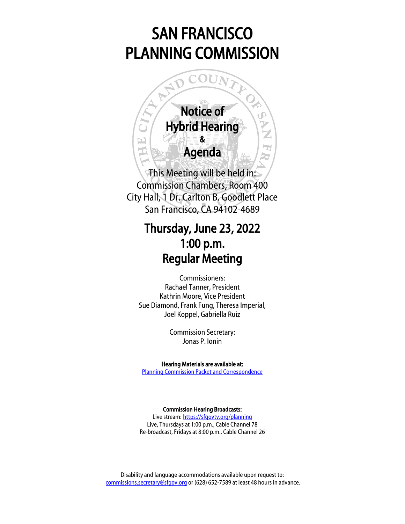# SAN FRANCISCO PLANNING COMMISSION



Commission Chambers, Room 400 City Hall, 1 Dr. Carlton B. Goodlett Place San Francisco, CA 94102-4689

# Thursday, June 23, 2022 1:00 p.m. Regular Meeting

Commissioners: Rachael Tanner, President Kathrin Moore, Vice President Sue Diamond, Frank Fung, Theresa Imperial, Joel Koppel, Gabriella Ruiz

> Commission Secretary: Jonas P. Ionin

Hearing Materials are available at: [Planning Commission Packet and Correspondence](https://sfplanning.org/resource/planning-commission-packet-june-23-2022)

Commission Hearing Broadcasts:

Live stream: <https://sfgovtv.org/planning> Live, Thursdays at 1:00 p.m., Cable Channel 78 Re-broadcast, Fridays at 8:00 p.m., Cable Channel 26

Disability and language accommodations available upon request to: [commissions.secretary@sfgov.org](mailto:commissions.secretary@sfgov.org) or (628) 652-7589 at least 48 hours in advance.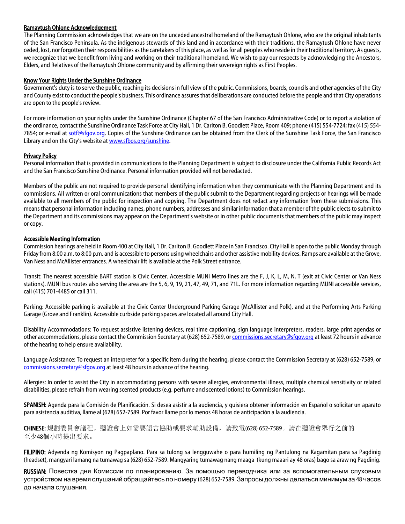### Ramaytush Ohlone Acknowledgement

The Planning Commission acknowledges that we are on the unceded ancestral homeland of the Ramaytush Ohlone, who are the original inhabitants of the San Francisco Peninsula. As the indigenous stewards of this land and in accordance with their traditions, the Ramaytush Ohlone have never ceded, lost, nor forgotten their responsibilities as the caretakers of this place, as well as for all peoples who reside in their traditional territory. As guests, we recognize that we benefit from living and working on their traditional homeland. We wish to pay our respects by acknowledging the Ancestors, Elders, and Relatives of the Ramaytush Ohlone community and by affirming their sovereign rights as First Peoples.

### Know Your Rights Under the Sunshine Ordinance

Government's duty is to serve the public, reaching its decisions in full view of the public. Commissions, boards, councils and other agencies of the City and County exist to conduct the people's business. This ordinance assures that deliberations are conducted before the people and that City operations are open to the people's review.

For more information on your rights under the Sunshine Ordinance (Chapter 67 of the San Francisco Administrative Code) or to report a violation of the ordinance, contact the Sunshine Ordinance Task Force at City Hall, 1 Dr. Carlton B. Goodlett Place, Room 409; phone (415) 554-7724; fax (415) 554 7854; or e-mail at [sotf@sfgov.org.](mailto:sotf@sfgov.org) Copies of the Sunshine Ordinance can be obtained from the Clerk of the Sunshine Task Force, the San Francisco Library and on the City's website a[t www.sfbos.org/sunshine.](http://www.sfbos.org/sunshine)

#### **Privacy Policy**

Personal information that is provided in communications to the Planning Department is subject to disclosure under the California Public Records Act and the San Francisco Sunshine Ordinance. Personal information provided will not be redacted.

Members of the public are not required to provide personal identifying information when they communicate with the Planning Department and its commissions. All written or oral communications that members of the public submit to the Department regarding projects or hearings will be made available to all members of the public for inspection and copying. The Department does not redact any information from these submissions. This means that personal information including names, phone numbers, addresses and similar information that a member of the public elects to submit to the Department and its commissions may appear on the Department's website or in other public documents that members of the public may inspect or copy.

#### Accessible Meeting Information

Commission hearings are held in Room 400 at City Hall, 1 Dr. Carlton B. Goodlett Place in San Francisco. City Hall is open to the public Monday through Friday from 8:00 a.m. to 8:00 p.m. and is accessible to persons using wheelchairs and other assistive mobility devices. Ramps are available at the Grove, Van Ness and McAllister entrances. A wheelchair lift is available at the Polk Street entrance.

Transit: The nearest accessible BART station is Civic Center. Accessible MUNI Metro lines are the F, J, K, L, M, N, T (exit at Civic Center or Van Ness stations). MUNI bus routes also serving the area are the 5, 6, 9, 19, 21, 47, 49, 71, and 71L. For more information regarding MUNI accessible services, call (415) 701-4485 or call 311.

Parking: Accessible parking is available at the Civic Center Underground Parking Garage (McAllister and Polk), and at the Performing Arts Parking Garage (Grove and Franklin). Accessible curbside parking spaces are located all around City Hall.

Disability Accommodations: To request assistive listening devices, real time captioning, sign language interpreters, readers, large print agendas or other accommodations, please contact the Commission Secretary at (628) 652-7589, o[r commissions.secretary@sfgov.org](mailto:commissions.secretary@sfgov.org) at least 72 hours in advance of the hearing to help ensure availability.

Language Assistance: To request an interpreter for a specific item during the hearing, please contact the Commission Secretary at (628) 652-7589, or [commissions.secretary@sfgov.org](mailto:commissions.secretary@sfgov.org) at least 48 hours in advance of the hearing.

Allergies: In order to assist the City in accommodating persons with severe allergies, environmental illness, multiple chemical sensitivity or related disabilities, please refrain from wearing scented products (e.g. perfume and scented lotions) to Commission hearings.

SPANISH: Agenda para la Comisión de Planificación. Si desea asistir a la audiencia, y quisiera obtener información en Español o solicitar un aparato para asistencia auditiva, llame al (628) 652-7589. Por favor llame por lo menos 48 horas de anticipación a la audiencia.

CHINESE: 規劃委員會議程。聽證會上如需要語言協助或要求輔助設備,請致電(628) 652-7589。請在聽證會舉行之前的 至少48個小時提出要求。

FILIPINO: Adyenda ng Komisyon ng Pagpaplano. Para sa tulong sa lengguwahe o para humiling ng Pantulong na Kagamitan para sa Pagdinig (headset), mangyari lamang na tumawag sa (628) 652-7589. Mangyaring tumawag nang maaga (kung maaari ay 48 oras) bago sa araw ng Pagdinig.

RUSSIAN: Повестка дня Комиссии по планированию. За помощью переводчика или за вспомогательным слуховым устройством на время слушаний обращайтесь по номеру (628) 652-7589. Запросы должны делаться минимум за 48 часов до начала слушания.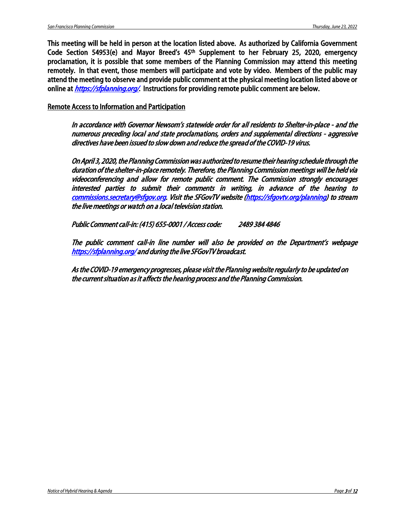This meeting will be held in person at the location listed above. As authorized by California Government Code Section 54953(e) and Mayor Breed's 45th Supplement to her February 25, 2020, emergency proclamation, it is possible that some members of the Planning Commission may attend this meeting remotely. In that event, those members will participate and vote by video. Members of the public may attend the meeting to observe and provide public comment at the physical meeting location listed above or online at *<https://sfplanning.org/>*. Instructions for providing remote public comment are below.

Remote Access to Information and Participation

In accordance with Governor Newsom's statewide order for all residents to Shelter-in-place - and the numerous preceding local and state proclamations, orders and supplemental directions - aggressive directives have been issued to slow down and reduce the spread of the COVID-19 virus.

On April 3, 2020, the Planning Commission was authorized to resume their hearing schedule through the duration of the shelter-in-place remotely. Therefore, the Planning Commission meetings will be held via videoconferencing and allow for remote public comment. The Commission strongly encourages interested parties to submit their comments in writing, in advance of the hearing to [commissions.secretary@sfgov.org.](mailto:commissions.secretary@sfgov.org) Visit the SFGovTV website [\(https://sfgovtv.org/planning\)](https://sfgovtv.org/planning) to stream the live meetings or watch on a local television station.

Public Comment call-in: (415) 655-0001 / Access code: 2489 384 4846

The public comment call-in line number will also be provided on the Department's webpage <https://sfplanning.org/>and during the live SFGovTV broadcast.

As the COVID-19 emergency progresses, please visit the Planning website regularly to be updated on the current situation as it affects the hearing process and the Planning Commission.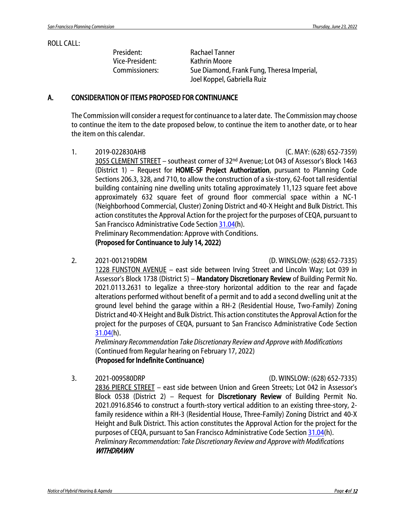### ROLL CALL:

President: Rachael Tanner Vice-President: Kathrin Moore

Commissioners: Sue Diamond, Frank Fung, Theresa Imperial, Joel Koppel, Gabriella Ruiz

# A. CONSIDERATION OF ITEMS PROPOSED FOR CONTINUANCE

The Commission will consider a request for continuance to a later date. The Commission may choose to continue the item to the date proposed below, to continue the item to another date, or to hear the item on this calendar.

1. 2019-022830AHB (C. MAY: (628) 652-7359)

3055 CLEMENT STREET – southeast corner of 32nd Avenue; Lot 043 of Assessor's Block 1463 (District 1) – Request for HOME-SF Project Authorization, pursuant to Planning Code Sections 206.3, 328, and 710, to allow the construction of a six-story, 62-foot tall residential building containing nine dwelling units totaling approximately 11,123 square feet above approximately 632 square feet of ground floor commercial space within a NC-1 (Neighborhood Commercial, Cluster) Zoning District and 40-X Height and Bulk District. This action constitutes the Approval Action for the project for the purposes of CEQA, pursuant to San Francisco Administrative Code Sectio[n 31.04\(](https://codelibrary.amlegal.com/codes/san_francisco/latest/sf_admin/0-0-0-15178)h).

Preliminary Recommendation: Approve with Conditions. (Proposed for Continuance to July 14, 2022)

2. 2021-001219DRM (D. WINSLOW: (628) 652-7335)

1228 FUNSTON AVENUE – east side between Irving Street and Lincoln Way; Lot 039 in Assessor's Block 1738 (District 5) – Mandatory Discretionary Review of Building Permit No. 2021.0113.2631 to legalize a three-story horizontal addition to the rear and façade alterations performed without benefit of a permit and to add a second dwelling unit at the ground level behind the garage within a RH-2 (Residential House, Two-Family) Zoning District and 40-X Height and Bulk District. This action constitutes the Approval Action for the project for the purposes of CEQA, pursuant to San Francisco Administrative Code Section [31.04\(h](https://codelibrary.amlegal.com/codes/san_francisco/latest/sf_admin/0-0-0-15178)).

*Preliminary Recommendation Take Discretionary Review and Approve with Modifications* (Continued from Regular hearing on February 17, 2022) (Proposed for Indefinite Continuance)

### 3. 2021-009580DRP (D. WINSLOW: (628) 652-7335)

2836 PIERCE STREET – east side between Union and Green Streets; Lot 042 in Assessor's Block 0538 (District 2) – Request for Discretionary Review of Building Permit No. 2021.0916.8546 to construct a fourth-story vertical addition to an existing three-story, 2 family residence within a RH-3 (Residential House, Three-Family) Zoning District and 40-X Height and Bulk District. This action constitutes the Approval Action for the project for the purposes of CEQA, pursuant to San Francisco Administrative Code Section [31.04\(](https://codelibrary.amlegal.com/codes/san_francisco/latest/sf_admin/0-0-0-15178)h). *Preliminary Recommendation: Take Discretionary Review and Approve with Modifications* **WITHDRAWN**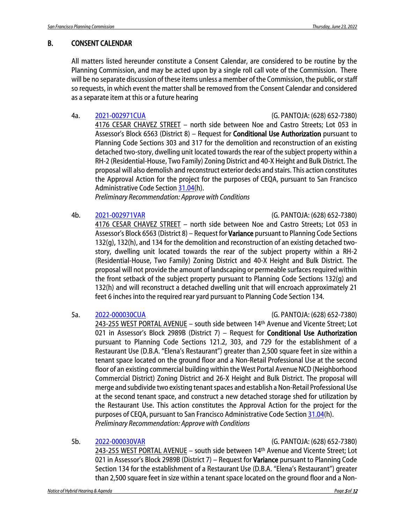# B. CONSENT CALENDAR

All matters listed hereunder constitute a Consent Calendar, are considered to be routine by the Planning Commission, and may be acted upon by a single roll call vote of the Commission. There will be no separate discussion of these items unless a member of the Commission, the public, or staff so requests, in which event the matter shall be removed from the Consent Calendar and considered as a separate item at this or a future hearing

# 4a. [2021-002971CUA](https://citypln-m-extnl.sfgov.org/Commissions/CPC/6_23_2022/Commission%20Packet/2021-002971CUAVAR.pdf) (G. PANTOJA: (628) 652-7380)

4176 CESAR CHAVEZ STREET – north side between Noe and Castro Streets; Lot 053 in Assessor's Block 6563 (District 8) – Request for **Conditional Use Authorization** pursuant to Planning Code Sections 303 and 317 for the demolition and reconstruction of an existing detached two-story, dwelling unit located towards the rear of the subject property within a RH-2 (Residential-House, Two Family) Zoning District and 40-X Height and Bulk District. The proposal will also demolish and reconstruct exterior decks and stairs. This action constitutes the Approval Action for the project for the purposes of CEQA, pursuant to San Francisco Administrative Code Section [31.04\(](https://codelibrary.amlegal.com/codes/san_francisco/latest/sf_admin/0-0-0-15178)h).

*Preliminary Recommendation: Approve with Conditions*

# 4b. [2021-002971VAR](https://citypln-m-extnl.sfgov.org/Commissions/CPC/6_23_2022/Commission%20Packet/2021-002971CUAVAR.pdf) (G. PANTOJA: (628) 652-7380)

4176 CESAR CHAVEZ STREET – north side between Noe and Castro Streets; Lot 053 in Assessor's Block 6563 (District 8) – Request for Variance pursuant to Planning Code Sections 132(g), 132(h), and 134 for the demolition and reconstruction of an existing detached twostory, dwelling unit located towards the rear of the subject property within a RH-2 (Residential-House, Two Family) Zoning District and 40-X Height and Bulk District. The proposal will not provide the amount of landscaping or permeable surfaces required within the front setback of the subject property pursuant to Planning Code Sections 132(g) and 132(h) and will reconstruct a detached dwelling unit that will encroach approximately 21 feet 6 inches into the required rear yard pursuant to Planning Code Section 134.

# 5a. [2022-000030CUA](https://citypln-m-extnl.sfgov.org/Commissions/CPC/6_23_2022/Commission%20Packet/2022-000030CUAVAR.pdf) (G. PANTOJA: (628) 652-7380)

243-255 WEST PORTAL AVENUE - south side between 14<sup>th</sup> Avenue and Vicente Street; Lot 021 in Assessor's Block 2989B (District 7) - Request for **Conditional Use Authorization** pursuant to Planning Code Sections 121.2, 303, and 729 for the establishment of a Restaurant Use (D.B.A. "Elena's Restaurant") greater than 2,500 square feet in size within a tenant space located on the ground floor and a Non-Retail Professional Use at the second floor of an existing commercial building within the West Portal Avenue NCD (Neighborhood Commercial District) Zoning District and 26-X Height and Bulk District. The proposal will merge and subdivide two existing tenant spaces and establish a Non-Retail Professional Use at the second tenant space, and construct a new detached storage shed for utilization by the Restaurant Use. This action constitutes the Approval Action for the project for the purposes of CEQA, pursuant to San Francisco Administrative Code Section [31.04\(](https://codelibrary.amlegal.com/codes/san_francisco/latest/sf_admin/0-0-0-15178)h). *Preliminary Recommendation: Approve with Conditions*

5b. [2022-000030VAR](https://citypln-m-extnl.sfgov.org/Commissions/CPC/6_23_2022/Commission%20Packet/2022-000030CUAVAR.pdf) (G. PANTOJA: (628) 652-7380)

243-255 WEST PORTAL AVENUE - south side between 14<sup>th</sup> Avenue and Vicente Street; Lot 021 in Assessor's Block 2989B (District 7) – Request for Variance pursuant to Planning Code Section 134 for the establishment of a Restaurant Use (D.B.A. "Elena's Restaurant") greater than 2,500 square feet in size within a tenant space located on the ground floor and a Non-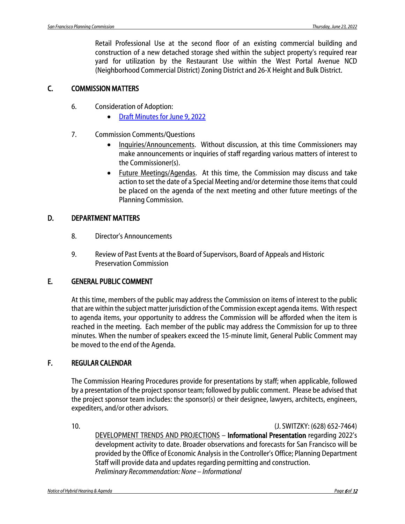Retail Professional Use at the second floor of an existing commercial building and construction of a new detached storage shed within the subject property's required rear yard for utilization by the Restaurant Use within the West Portal Avenue NCD (Neighborhood Commercial District) Zoning District and 26-X Height and Bulk District.

# C. COMMISSION MATTERS

- 6. Consideration of Adoption:
	- [Draft Minutes for June 9, 2022](https://citypln-m-extnl.sfgov.org/Commissions/CPC/6_23_2022/Commission%20Packet/20220609_cal_min.pdf)
- 7. Commission Comments/Questions
	- Inquiries/Announcements. Without discussion, at this time Commissioners may make announcements or inquiries of staff regarding various matters of interest to the Commissioner(s).
	- Future Meetings/Agendas. At this time, the Commission may discuss and take action to set the date of a Special Meeting and/or determine those items that could be placed on the agenda of the next meeting and other future meetings of the Planning Commission.

# D. DEPARTMENT MATTERS

- 8. Director's Announcements
- 9. Review of Past Events at the Board of Supervisors, Board of Appeals and Historic Preservation Commission

# E. GENERAL PUBLIC COMMENT

At this time, members of the public may address the Commission on items of interest to the public that are within the subject matter jurisdiction of the Commission except agenda items. With respect to agenda items, your opportunity to address the Commission will be afforded when the item is reached in the meeting. Each member of the public may address the Commission for up to three minutes. When the number of speakers exceed the 15-minute limit, General Public Comment may be moved to the end of the Agenda.

# F. REGULAR CALENDAR

The Commission Hearing Procedures provide for presentations by staff; when applicable, followed by a presentation of the project sponsor team; followed by public comment. Please be advised that the project sponsor team includes: the sponsor(s) or their designee, lawyers, architects, engineers, expediters, and/or other advisors.

10. (J. SWITZKY: (628) 652-7464)

DEVELOPMENT TRENDS AND PROJECTIONS – Informational Presentation regarding 2022's development activity to date. Broader observations and forecasts for San Francisco will be provided by the Office of Economic Analysis in the Controller's Office; Planning Department Staff will provide data and updates regarding permitting and construction. *Preliminary Recommendation: None – Informational*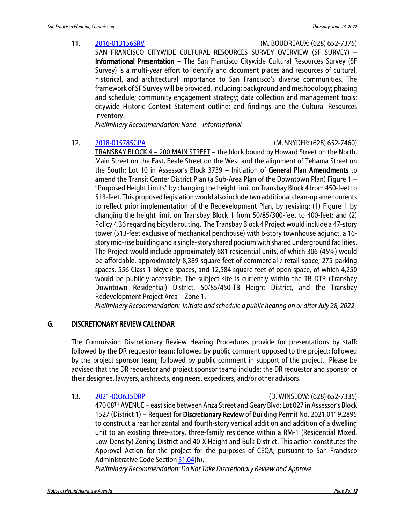## 11. [2016-013156SRV](https://citypln-m-extnl.sfgov.org/Commissions/CPC/6_23_2022/Commission%20Packet/2016-013156SRV.pdf) (M. BOUDREAUX: (628) 652-7375)

SAN FRANCISCO CITYWIDE CULTURAL RESOURCES SURVEY OVERVIEW (SF SURVEY) – Informational Presentation – The San Francisco Citywide Cultural Resources Survey (SF Survey) is a multi-year effort to identify and document places and resources of cultural, historical, and architectural importance to San Francisco's diverse communities. The framework of SF Survey will be provided, including: background and methodology; phasing and schedule; community engagement strategy; data collection and management tools; citywide Historic Context Statement outline; and findings and the Cultural Resources Inventory.

*Preliminary Recommendation: None – Informational*

12. [2018-015785GPA](https://citypln-m-extnl.sfgov.org/Commissions/CPC/6_23_2022/Commission%20Packet/2018-015785GPA.pdf) (M. SNYDER: (628) 652-7460)

TRANSBAY BLOCK 4 – 200 MAIN STREET – the block bound by Howard Street on the North, Main Street on the East, Beale Street on the West and the alignment of Tehama Street on the South; Lot 10 in Assessor's Block 3739 – Initiation of General Plan Amendments to amend the Transit Center District Plan (a Sub-Area Plan of the Downtown Plan) Figure 1 – "Proposed Height Limits" by changing the height limit on Transbay Block 4 from 450-feet to 513-feet. This proposed legislation would also include two additional clean-up amendments to reflect prior implementation of the Redevelopment Plan, by revising: (1) Figure 1 by changing the height limit on Transbay Block 1 from 50/85/300-feet to 400-feet; and (2) Policy 4.36 regarding bicycle routing. The Transbay Block 4 Project would include a 47-story tower (513-feet exclusive of mechanical penthouse) with 6-story townhouse adjunct, a 16 story mid-rise building and a single-story shared podium with shared underground facilities. The Project would include approximately 681 residential units, of which 306 (45%) would be affordable, approximately 8,389 square feet of commercial / retail space, 275 parking spaces, 556 Class 1 bicycle spaces, and 12,584 square feet of open space, of which 4,250 would be publicly accessible. The subject site is currently within the TB DTR (Transbay Downtown Residential) District, 50/85/450-TB Height District, and the Transbay Redevelopment Project Area – Zone 1.

*Preliminary Recommendation: Initiate and schedule a public hearing on or after July 28, 2022*

# G. DISCRETIONARY REVIEW CALENDAR

The Commission Discretionary Review Hearing Procedures provide for presentations by staff; followed by the DR requestor team; followed by public comment opposed to the project; followed by the project sponsor team; followed by public comment in support of the project. Please be advised that the DR requestor and project sponsor teams include: the DR requestor and sponsor or their designee, lawyers, architects, engineers, expediters, and/or other advisors.

13. [2021-003635DRP](https://citypln-m-extnl.sfgov.org/Commissions/CPC/6_23_2022/Commission%20Packet/2021-003635DRP.pdf) (D. WINSLOW: (628) 652-7335)

470 08TH AVENUE – east side between Anza Street and Geary Blvd; Lot 027 in Assessor's Block 1527 (District 1) – Request for Discretionary Review of Building Permit No. 2021.0119.2895 to construct a rear horizontal and fourth-story vertical addition and addition of a dwelling unit to an existing three-story, three-family residence within a RM-1 (Residential Mixed, Low-Density) Zoning District and 40-X Height and Bulk District. This action constitutes the Approval Action for the project for the purposes of CEQA, pursuant to San Francisco Administrative Code Section [31.04\(](https://codelibrary.amlegal.com/codes/san_francisco/latest/sf_admin/0-0-0-15178)h).

*Preliminary Recommendation: Do Not Take Discretionary Review and Approve*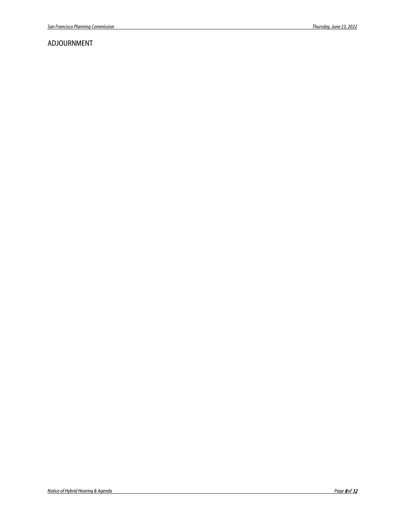# ADJOURNMENT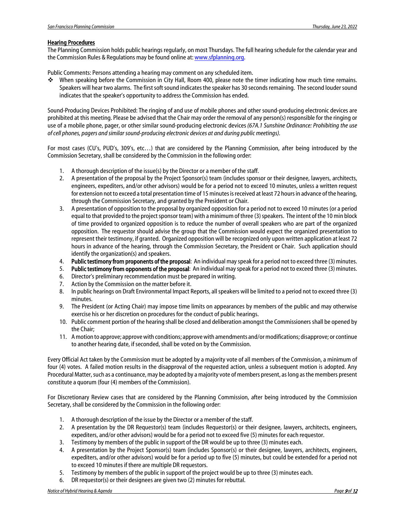#### Hearing Procedures

The Planning Commission holds public hearings regularly, on most Thursdays. The full hearing schedule for the calendar year and the Commission Rules & Regulations may be found online at[: www.sfplanning.org.](http://www.sfplanning.org/)

Public Comments: Persons attending a hearing may comment on any scheduled item.

 When speaking before the Commission in City Hall, Room 400, please note the timer indicating how much time remains. Speakers will hear two alarms. The first soft sound indicates the speaker has 30 seconds remaining. The second louder sound indicates that the speaker's opportunity to address the Commission has ended.

Sound-Producing Devices Prohibited: The ringing of and use of mobile phones and other sound-producing electronic devices are prohibited at this meeting. Please be advised that the Chair may order the removal of any person(s) responsible for the ringing or use of a mobile phone, pager, or other similar sound-producing electronic devices *(67A.1 Sunshine Ordinance: Prohibiting the use of cell phones, pagers and similar sound-producing electronic devices at and during public meetings).*

For most cases (CU's, PUD's, 309's, etc…) that are considered by the Planning Commission, after being introduced by the Commission Secretary, shall be considered by the Commission in the following order:

- 1. A thorough description of the issue(s) by the Director or a member of the staff.
- 2. A presentation of the proposal by the Project Sponsor(s) team (includes sponsor or their designee, lawyers, architects, engineers, expediters, and/or other advisors) would be for a period not to exceed 10 minutes, unless a written request for extension not to exceed a total presentation time of 15 minutes is received at least 72 hours in advance of the hearing, through the Commission Secretary, and granted by the President or Chair.
- 3. A presentation of opposition to the proposal by organized opposition for a period not to exceed 10 minutes (or a period equal to that provided to the project sponsor team) with a minimum of three (3) speakers. The intent of the 10 min block of time provided to organized opposition is to reduce the number of overall speakers who are part of the organized opposition. The requestor should advise the group that the Commission would expect the organized presentation to represent their testimony, if granted. Organized opposition will be recognized only upon written application at least 72 hours in advance of the hearing, through the Commission Secretary, the President or Chair. Such application should identify the organization(s) and speakers.
- 4. Public testimony from proponents of the proposal: An individual may speak for a period not to exceed three (3) minutes.
- 5. Public testimony from opponents of the proposal: An individual may speak for a period not to exceed three (3) minutes.
- 6. Director's preliminary recommendation must be prepared in writing.
- 7. Action by the Commission on the matter before it.
- 8. In public hearings on Draft Environmental Impact Reports, all speakers will be limited to a period not to exceed three (3) minutes.
- 9. The President (or Acting Chair) may impose time limits on appearances by members of the public and may otherwise exercise his or her discretion on procedures for the conduct of public hearings.
- 10. Public comment portion of the hearing shall be closed and deliberation amongst the Commissioners shall be opened by the Chair;
- 11. A motion to approve; approve with conditions; approve with amendments and/or modifications; disapprove; or continue to another hearing date, if seconded, shall be voted on by the Commission.

Every Official Act taken by the Commission must be adopted by a majority vote of all members of the Commission, a minimum of four (4) votes. A failed motion results in the disapproval of the requested action, unless a subsequent motion is adopted. Any Procedural Matter, such as a continuance, may be adopted by a majority vote of members present, as long as the members present constitute a quorum (four (4) members of the Commission).

For Discretionary Review cases that are considered by the Planning Commission, after being introduced by the Commission Secretary, shall be considered by the Commission in the following order:

- 1. A thorough description of the issue by the Director or a member of the staff.
- 2. A presentation by the DR Requestor(s) team (includes Requestor(s) or their designee, lawyers, architects, engineers, expediters, and/or other advisors) would be for a period not to exceed five (5) minutes for each requestor.
- 3. Testimony by members of the public in support of the DR would be up to three (3) minutes each.
- 4. A presentation by the Project Sponsor(s) team (includes Sponsor(s) or their designee, lawyers, architects, engineers, expediters, and/or other advisors) would be for a period up to five (5) minutes, but could be extended for a period not to exceed 10 minutes if there are multiple DR requestors.
- 5. Testimony by members of the public in support of the project would be up to three (3) minutes each.
- 6. DR requestor(s) or their designees are given two (2) minutes for rebuttal.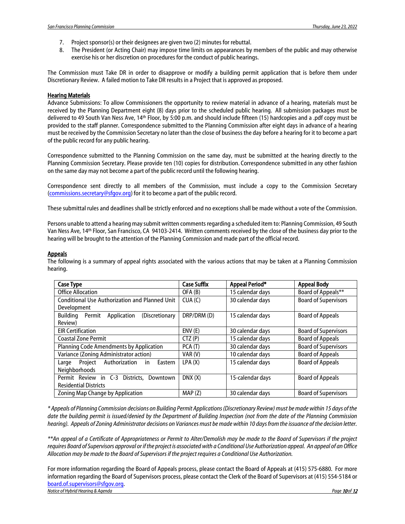- 7. Project sponsor(s) or their designees are given two (2) minutes for rebuttal.
- 8. The President (or Acting Chair) may impose time limits on appearances by members of the public and may otherwise exercise his or her discretion on procedures for the conduct of public hearings.

The Commission must Take DR in order to disapprove or modify a building permit application that is before them under Discretionary Review. A failed motion to Take DR results in a Project that is approved as proposed.

#### **Hearing Materials**

Advance Submissions: To allow Commissioners the opportunity to review material in advance of a hearing, materials must be received by the Planning Department eight (8) days prior to the scheduled public hearing. All submission packages must be delivered to 49 South Van Ness Ave, 14th Floor, by 5:00 p.m. and should include fifteen (15) hardcopies and a .pdf copy must be provided to the staff planner. Correspondence submitted to the Planning Commission after eight days in advance of a hearing must be received by the Commission Secretary no later than the close of business the day before a hearing for it to become a part of the public record for any public hearing.

Correspondence submitted to the Planning Commission on the same day, must be submitted at the hearing directly to the Planning Commission Secretary. Please provide ten (10) copies for distribution. Correspondence submitted in any other fashion on the same day may not become a part of the public record until the following hearing.

Correspondence sent directly to all members of the Commission, must include a copy to the Commission Secretary [\(commissions.secretary@sfgov.org\)](mailto:commissions.secretary@sfgov.org) for it to become a part of the public record.

These submittal rules and deadlines shall be strictly enforced and no exceptions shall be made without a vote of the Commission.

Persons unable to attend a hearing may submit written comments regarding a scheduled item to: Planning Commission, 49 South Van Ness Ave, 14th Floor, San Francisco, CA 94103-2414. Written comments received by the close of the business day prior to the hearing will be brought to the attention of the Planning Commission and made part of the official record.

#### **Appeals**

The following is a summary of appeal rights associated with the various actions that may be taken at a Planning Commission hearing.

| <b>Case Type</b>                                      | <b>Case Suffix</b> | Appeal Period*   | <b>Appeal Body</b>          |
|-------------------------------------------------------|--------------------|------------------|-----------------------------|
| <b>Office Allocation</b>                              | OFA (B)            | 15 calendar days | Board of Appeals**          |
| <b>Conditional Use Authorization and Planned Unit</b> | CUA(C)             | 30 calendar days | <b>Board of Supervisors</b> |
| Development                                           |                    |                  |                             |
| Application<br>(Discretionary<br>Buildina<br>Permit   | DRP/DRM (D)        | 15 calendar days | <b>Board of Appeals</b>     |
| Review)                                               |                    |                  |                             |
| <b>EIR Certification</b>                              | ENV(E)             | 30 calendar days | <b>Board of Supervisors</b> |
| <b>Coastal Zone Permit</b>                            | CTZ(P)             | 15 calendar days | <b>Board of Appeals</b>     |
| Planning Code Amendments by Application               | PCA(T)             | 30 calendar days | <b>Board of Supervisors</b> |
| Variance (Zoning Administrator action)                | VAR(V)             | 10 calendar days | <b>Board of Appeals</b>     |
| Authorization<br>Project<br>in<br>Eastern<br>Large    | LPA(X)             | 15 calendar days | <b>Board of Appeals</b>     |
| Neighborhoods                                         |                    |                  |                             |
| Permit Review in C-3 Districts.<br>Downtown           | DNX(X)             | 15-calendar days | <b>Board of Appeals</b>     |
| <b>Residential Districts</b>                          |                    |                  |                             |
| Zoning Map Change by Application                      | MAP(Z)             | 30 calendar days | <b>Board of Supervisors</b> |

*\* Appeals of Planning Commission decisions on Building Permit Applications (Discretionary Review) must be made within 15 days of the date the building permit is issued/denied by the Department of Building Inspection (not from the date of the Planning Commission hearing). Appeals of Zoning Administrator decisions on Variances must be made within 10 days from the issuance of the decision letter.*

*\*\*An appeal of a Certificate of Appropriateness or Permit to Alter/Demolish may be made to the Board of Supervisors if the project requires Board of Supervisors approval or if the project is associated with a Conditional Use Authorization appeal. An appeal of an Office Allocation may be made to the Board of Supervisors if the project requires a Conditional Use Authorization.*

**Notice of Hybrid Hearing & Agenda** Page **10** of **12** *of 12 of n <i>Page <b>10 of 12 of Page 10 of 12 or <i>Page 100 Page 100 Page 100 Page 100 <i>Page 100 Page 100 Page 100 Page 100* For more information regarding the Board of Appeals process, please contact the Board of Appeals at (415) 575-6880. For more information regarding the Board of Supervisors process, please contact the Clerk of the Board of Supervisors at (415) 554-5184 or [board.of.supervisors@sfgov.org.](mailto:board.of.supervisors@sfgov.org)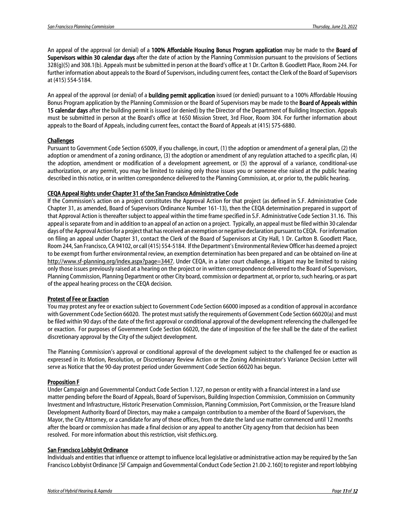An appeal of the approval (or denial) of a 100% Affordable Housing Bonus Program application may be made to the Board of Supervisors within 30 calendar days after the date of action by the Planning Commission pursuant to the provisions of Sections 328(g)(5) and 308.1(b). Appeals must be submitted in person at the Board's office at 1 Dr. Carlton B. Goodlett Place, Room 244. For further information about appeals to the Board of Supervisors, including current fees, contact the Clerk of the Board of Supervisors at (415) 554-5184.

An appeal of the approval (or denial) of a **building permit application** issued (or denied) pursuant to a 100% Affordable Housing Bonus Program application by the Planning Commission or the Board of Supervisors may be made to the **Board of Appeals within** 15 calendar days after the building permit is issued (or denied) by the Director of the Department of Building Inspection. Appeals must be submitted in person at the Board's office at 1650 Mission Street, 3rd Floor, Room 304. For further information about appeals to the Board of Appeals, including current fees, contact the Board of Appeals at (415) 575-6880.

#### **Challenges**

Pursuant to Government Code Section 65009, if you challenge, in court, (1) the adoption or amendment of a general plan, (2) the adoption or amendment of a zoning ordinance, (3) the adoption or amendment of any regulation attached to a specific plan, (4) the adoption, amendment or modification of a development agreement, or (5) the approval of a variance, conditional-use authorization, or any permit, you may be limited to raising only those issues you or someone else raised at the public hearing described in this notice, or in written correspondence delivered to the Planning Commission, at, or prior to, the public hearing.

#### CEQA Appeal Rights under Chapter 31 of the San Francisco Administrative Code

If the Commission's action on a project constitutes the Approval Action for that project (as defined in S.F. Administrative Code Chapter 31, as amended, Board of Supervisors Ordinance Number 161-13), then the CEQA determination prepared in support of that Approval Action is thereafter subject to appeal within the time frame specified in S.F. Administrative Code Section 31.16. This appeal is separate from and in addition to an appeal of an action on a project. Typically, an appeal must be filed within 30 calendar days of the Approval Action for a project that has received an exemption or negative declaration pursuant to CEQA. For information on filing an appeal under Chapter 31, contact the Clerk of the Board of Supervisors at City Hall, 1 Dr. Carlton B. Goodlett Place, Room 244, San Francisco, CA 94102, or call (415) 554-5184. If the Department's Environmental Review Officer has deemed a project to be exempt from further environmental review, an exemption determination has been prepared and can be obtained on-line at [http://www.sf-planning.org/index.aspx?page=3447.](http://www.sf-planning.org/index.aspx?page=3447) Under CEQA, in a later court challenge, a litigant may be limited to raising only those issues previously raised at a hearing on the project or in written correspondence delivered to the Board of Supervisors, Planning Commission, Planning Department or other City board, commission or department at, or prior to, such hearing, or as part of the appeal hearing process on the CEQA decision.

#### Protest of Fee or Exaction

You may protest any fee or exaction subject to Government Code Section 66000 imposed as a condition of approval in accordance with Government Code Section 66020. The protest must satisfy the requirements of Government Code Section 66020(a) and must be filed within 90 days of the date of the first approval or conditional approval of the development referencing the challenged fee or exaction. For purposes of Government Code Section 66020, the date of imposition of the fee shall be the date of the earliest discretionary approval by the City of the subject development.

The Planning Commission's approval or conditional approval of the development subject to the challenged fee or exaction as expressed in its Motion, Resolution, or Discretionary Review Action or the Zoning Administrator's Variance Decision Letter will serve as Notice that the 90-day protest period under Government Code Section 66020 has begun.

#### Proposition F

Under Campaign and Governmental Conduct Code Section 1.127, no person or entity with a financial interest in a land use matter pending before the Board of Appeals, Board of Supervisors, Building Inspection Commission, Commission on Community Investment and Infrastructure, Historic Preservation Commission, Planning Commission, Port Commission, or the Treasure Island Development Authority Board of Directors, may make a campaign contribution to a member of the Board of Supervisors, the Mayor, the City Attorney, or a candidate for any of those offices, from the date the land use matter commenced until 12 months after the board or commission has made a final decision or any appeal to another City agency from that decision has been resolved. For more information about this restriction, visit sfethics.org.

#### San Francisco Lobbyist Ordinance

Individuals and entities that influence or attempt to influence local legislative or administrative action may be required by the San Francisco Lobbyist Ordinance [SF Campaign and Governmental Conduct Code Section 21.00-2.160] to register and report lobbying